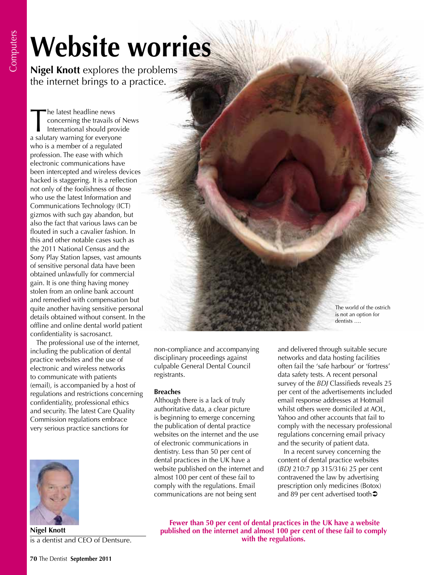## **Website worries**

**Nigel Knott** explores the problems the internet brings to a practice.

The latest headline news<br>
concerning the travails of Ne<br>
International should provide<br>
a salutary warning for everyone concerning the travails of News a salutary warning for everyone who is a member of a regulated profession. The ease with which electronic communications have been intercepted and wireless devices hacked is staggering. It is a reflection not only of the foolishness of those who use the latest Information and Communications Technology (ICT) gizmos with such gay abandon, but also the fact that various laws can be flouted in such a cavalier fashion. In this and other notable cases such as the 2011 National Census and the Sony Play Station lapses, vast amounts of sensitive personal data have been obtained unlawfully for commercial gain. It is one thing having money stolen from an online bank account and remedied with compensation but quite another having sensitive personal details obtained without consent. In the offline and online dental world patient confidentiality is sacrosanct.

The professional use of the internet, including the publication of dental practice websites and the use of electronic and wireless networks to communicate with patients (email), is accompanied by a host of regulations and restrictions concerning confidentiality, professional ethics and security. The latest Care Quality Commission regulations embrace very serious practice sanctions for



**Nigel Knott** is a dentist and CEO of Dentsure.

culpable General Dental Council registrants. **Breaches** Although there is a lack of truly

authoritative data, a clear picture is beginning to emerge concerning the publication of dental practice websites on the internet and the use of electronic communications in dentistry. Less than 50 per cent of dental practices in the UK have a website published on the internet and almost 100 per cent of these fail to comply with the regulations. Email communications are not being sent

non-compliance and accompanying disciplinary proceedings against

and delivered through suitable secure networks and data hosting facilities often fail the 'safe harbour' or 'fortress' data safety tests. A recent personal survey of the *BDJ* Classifieds reveals 25 per cent of the advertisements included email response addresses at Hotmail whilst others were domiciled at AOL, Yahoo and other accounts that fail to comply with the necessary professional regulations concerning email privacy and the security of patient data.

The world of the ostrich is not an option for dentists ….

In a recent survey concerning the content of dental practice websites (*BDJ* 210:7 pp 315/316) 25 per cent contravened the law by advertising prescription only medicines (Botox) and 89 per cent advertised tooth<sup>2</sup>

 **Fewer than 50 per cent of dental practices in the UK have a website published on the internet and almost 100 per cent of these fail to comply with the regulations.**